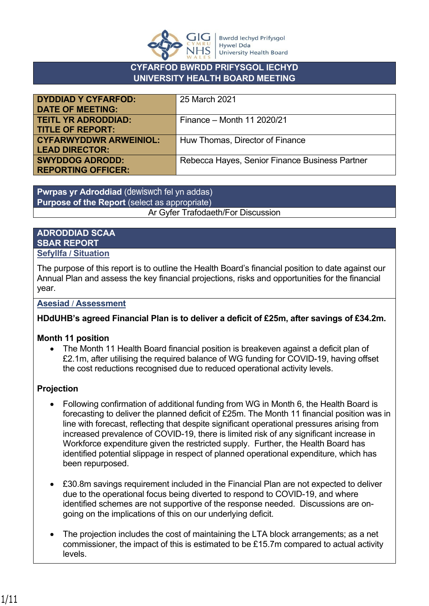

### **CYFARFOD BWRDD PRIFYSGOL IECHYD UNIVERSITY HEALTH BOARD MEETING**

| <b>DYDDIAD Y CYFARFOD:</b>    | 25 March 2021                                  |
|-------------------------------|------------------------------------------------|
| <b>DATE OF MEETING:</b>       |                                                |
| <b>TEITL YR ADRODDIAD:</b>    | Finance - Month 11 2020/21                     |
| <b>TITLE OF REPORT:</b>       |                                                |
| <b>CYFARWYDDWR ARWEINIOL:</b> | Huw Thomas, Director of Finance                |
| <b>LEAD DIRECTOR:</b>         |                                                |
| <b>SWYDDOG ADRODD:</b>        | Rebecca Hayes, Senior Finance Business Partner |
| <b>REPORTING OFFICER:</b>     |                                                |

**Pwrpas yr Adroddiad** (dewiswch fel yn addas) **Purpose of the Report** (select as appropriate) Ar Gyfer Trafodaeth/For Discussion

#### **ADRODDIAD SCAA SBAR REPORT Sefyllfa / Situation**

The purpose of this report is to outline the Health Board's financial position to date against our Annual Plan and assess the key financial projections, risks and opportunities for the financial year.

**Asesiad** / **Assessment**

### **HDdUHB's agreed Financial Plan is to deliver a deficit of £25m, after savings of £34.2m.**

### **Month 11 position**

 The Month 11 Health Board financial position is breakeven against a deficit plan of £2.1m, after utilising the required balance of WG funding for COVID-19, having offset the cost reductions recognised due to reduced operational activity levels.

### **Projection**

- Following confirmation of additional funding from WG in Month 6, the Health Board is forecasting to deliver the planned deficit of £25m. The Month 11 financial position was in line with forecast, reflecting that despite significant operational pressures arising from increased prevalence of COVID-19, there is limited risk of any significant increase in Workforce expenditure given the restricted supply. Further, the Health Board has identified potential slippage in respect of planned operational expenditure, which has been repurposed.
- £30.8m savings requirement included in the Financial Plan are not expected to deliver due to the operational focus being diverted to respond to COVID-19, and where identified schemes are not supportive of the response needed. Discussions are ongoing on the implications of this on our underlying deficit.
- The projection includes the cost of maintaining the LTA block arrangements; as a net commissioner, the impact of this is estimated to be £15.7m compared to actual activity levels.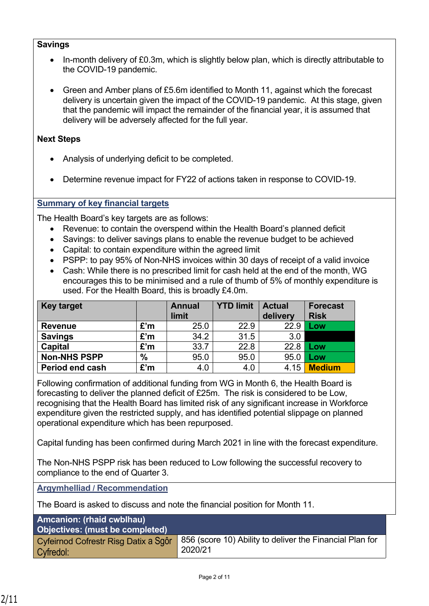#### **Savings**

- In-month delivery of £0.3m, which is slightly below plan, which is directly attributable to the COVID-19 pandemic.
- Green and Amber plans of £5.6m identified to Month 11, against which the forecast delivery is uncertain given the impact of the COVID-19 pandemic. At this stage, given that the pandemic will impact the remainder of the financial year, it is assumed that delivery will be adversely affected for the full year.

### **Next Steps**

- Analysis of underlying deficit to be completed.
- Determine revenue impact for FY22 of actions taken in response to COVID-19.

### **Summary of key financial targets**

The Health Board's key targets are as follows:

- Revenue: to contain the overspend within the Health Board's planned deficit
- Savings: to deliver savings plans to enable the revenue budget to be achieved
- Capital: to contain expenditure within the agreed limit
- PSPP: to pay 95% of Non-NHS invoices within 30 days of receipt of a valid invoice
- Cash: While there is no prescribed limit for cash held at the end of the month, WG encourages this to be minimised and a rule of thumb of 5% of monthly expenditure is used. For the Health Board, this is broadly £4.0m.

| <b>Key target</b>      |               | <b>Annual</b><br>limit | <b>YTD limit</b> | <b>Actual</b><br>delivery | <b>Forecast</b><br><b>Risk</b> |
|------------------------|---------------|------------------------|------------------|---------------------------|--------------------------------|
| <b>Revenue</b>         | £'m           | 25.0                   | 22.9             | 22.9                      | Low                            |
| <b>Savings</b>         | £'m           | 34.2                   | 31.5             | 3.0                       |                                |
| <b>Capital</b>         | £'m           | 33.7                   | 22.8             | 22.8                      | Low                            |
| <b>Non-NHS PSPP</b>    | $\frac{0}{0}$ | 95.0                   | 95.0             | 95.0                      | Low.                           |
| <b>Period end cash</b> | £'m           | 4.0                    | 4.0              | 4.15                      | <b>Medium</b>                  |

Following confirmation of additional funding from WG in Month 6, the Health Board is forecasting to deliver the planned deficit of £25m. The risk is considered to be Low, recognising that the Health Board has limited risk of any significant increase in Workforce expenditure given the restricted supply, and has identified potential slippage on planned operational expenditure which has been repurposed.

Capital funding has been confirmed during March 2021 in line with the forecast expenditure.

The Non-NHS PSPP risk has been reduced to Low following the successful recovery to compliance to the end of Quarter 3.

**Argymhelliad / Recommendation**

The Board is asked to discuss and note the financial position for Month 11.

| <b>Amcanion: (rhaid cwblhau)</b><br>Objectives: (must be completed) |                                                          |
|---------------------------------------------------------------------|----------------------------------------------------------|
| Cyfeirnod Cofrestr Risg Datix a Sgôr                                | 856 (score 10) Ability to deliver the Financial Plan for |
| Cyfredol:                                                           | 2020/21                                                  |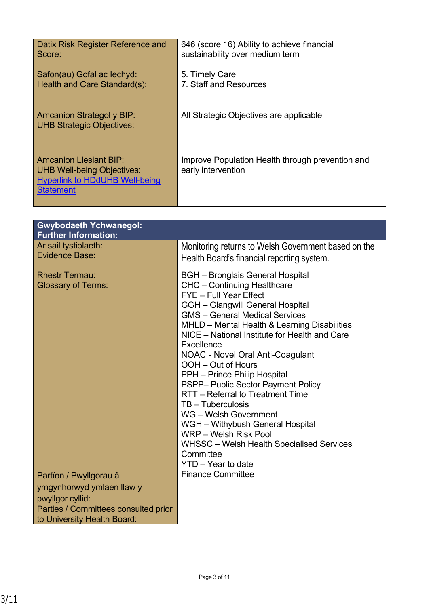| Datix Risk Register Reference and                                                                                               | 646 (score 16) Ability to achieve financial                            |
|---------------------------------------------------------------------------------------------------------------------------------|------------------------------------------------------------------------|
| Score:                                                                                                                          | sustainability over medium term                                        |
| Safon(au) Gofal ac lechyd:                                                                                                      | 5. Timely Care                                                         |
| Health and Care Standard(s):                                                                                                    | 7. Staff and Resources                                                 |
| <b>Amcanion Strategol y BIP:</b><br><b>UHB Strategic Objectives:</b>                                                            | All Strategic Objectives are applicable                                |
| <b>Amcanion Llesiant BIP:</b><br><b>UHB Well-being Objectives:</b><br><b>Hyperlink to HDdUHB Well-being</b><br><b>Statement</b> | Improve Population Health through prevention and<br>early intervention |

| <b>Gwybodaeth Ychwanegol:</b><br><b>Further Information:</b> |                                                     |
|--------------------------------------------------------------|-----------------------------------------------------|
| Ar sail tystiolaeth:                                         | Monitoring returns to Welsh Government based on the |
| Evidence Base:                                               | Health Board's financial reporting system.          |
| <b>Rhestr Termau:</b>                                        | <b>BGH</b> - Bronglais General Hospital             |
| <b>Glossary of Terms:</b>                                    | <b>CHC</b> - Continuing Healthcare                  |
|                                                              | FYE - Full Year Effect                              |
|                                                              | GGH - Glangwili General Hospital                    |
|                                                              | <b>GMS</b> - General Medical Services               |
|                                                              | MHLD - Mental Health & Learning Disabilities        |
|                                                              | NICE - National Institute for Health and Care       |
|                                                              | Excellence                                          |
|                                                              | NOAC - Novel Oral Anti-Coagulant                    |
|                                                              | OOH - Out of Hours                                  |
|                                                              | PPH - Prince Philip Hospital                        |
|                                                              | PSPP- Public Sector Payment Policy                  |
|                                                              | RTT - Referral to Treatment Time                    |
|                                                              | TB - Tuberculosis                                   |
|                                                              | WG - Welsh Government                               |
|                                                              | WGH - Withybush General Hospital                    |
|                                                              | WRP - Welsh Risk Pool                               |
|                                                              | <b>WHSSC</b> – Welsh Health Specialised Services    |
|                                                              | Committee                                           |
|                                                              | YTD - Year to date                                  |
| Partïon / Pwyllgorau â                                       | <b>Finance Committee</b>                            |
| ymgynhorwyd ymlaen llaw y                                    |                                                     |
| pwyllgor cyllid:                                             |                                                     |
| Parties / Committees consulted prior                         |                                                     |
| to University Health Board:                                  |                                                     |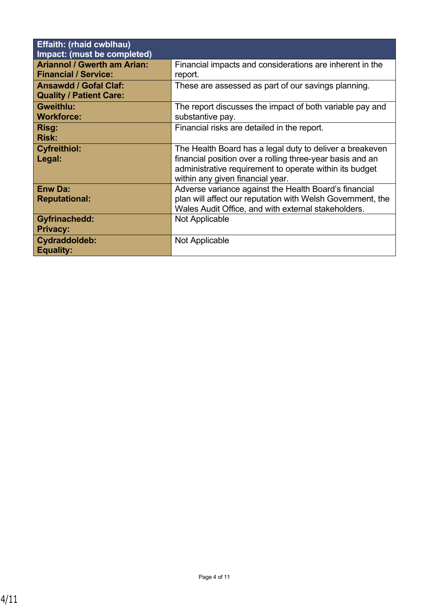| <b>Effaith: (rhaid cwblhau)</b><br>Impact: (must be completed)    |                                                                                                                                                                                                                      |
|-------------------------------------------------------------------|----------------------------------------------------------------------------------------------------------------------------------------------------------------------------------------------------------------------|
| <b>Ariannol / Gwerth am Arian:</b><br><b>Financial / Service:</b> | Financial impacts and considerations are inherent in the<br>report.                                                                                                                                                  |
| <b>Ansawdd / Gofal Claf:</b><br><b>Quality / Patient Care:</b>    | These are assessed as part of our savings planning.                                                                                                                                                                  |
| <b>Gweithlu:</b><br><b>Workforce:</b>                             | The report discusses the impact of both variable pay and<br>substantive pay.                                                                                                                                         |
| Risg:<br><b>Risk:</b>                                             | Financial risks are detailed in the report.                                                                                                                                                                          |
| <b>Cyfreithiol:</b><br>Legal:                                     | The Health Board has a legal duty to deliver a breakeven<br>financial position over a rolling three-year basis and an<br>administrative requirement to operate within its budget<br>within any given financial year. |
| <b>Enw Da:</b><br><b>Reputational:</b>                            | Adverse variance against the Health Board's financial<br>plan will affect our reputation with Welsh Government, the<br>Wales Audit Office, and with external stakeholders.                                           |
| <b>Gyfrinachedd:</b><br><b>Privacy:</b>                           | Not Applicable                                                                                                                                                                                                       |
| Cydraddoldeb:<br><b>Equality:</b>                                 | Not Applicable                                                                                                                                                                                                       |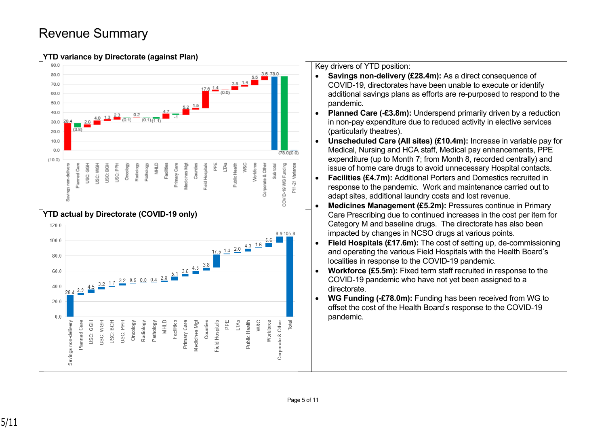## Revenue Summary

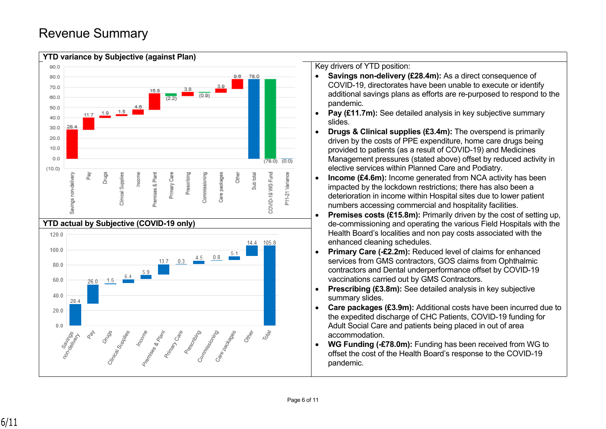# Revenue Summary

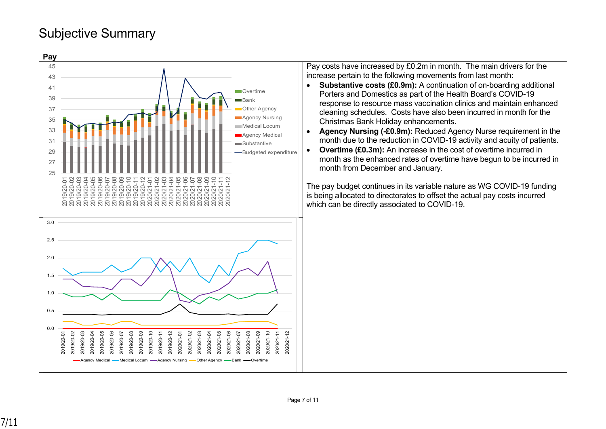# Subjective Summary

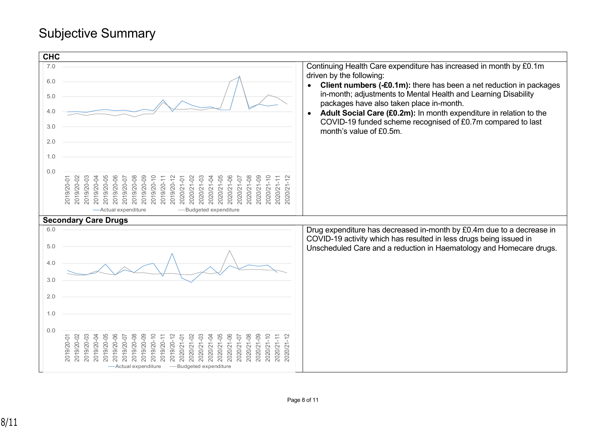# Subjective Summary

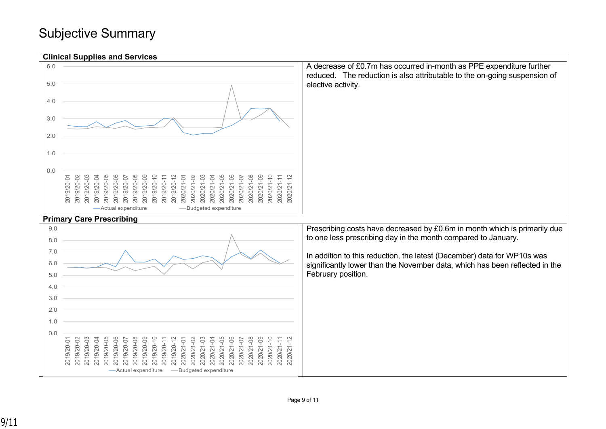### Subjective Summary

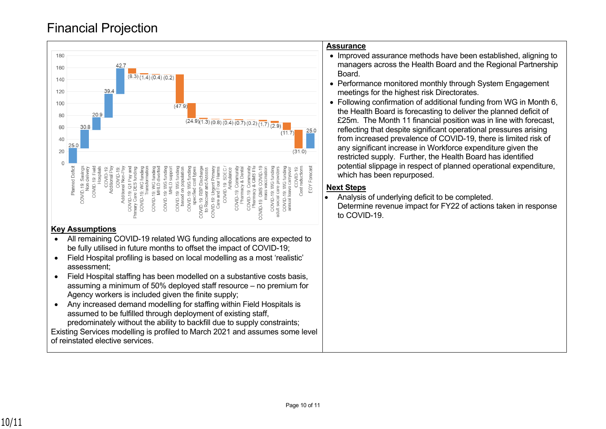# Financial Projection



#### **Assurance**

- Improved assurance methods have been established, aligning to managers across the Health Board and the Regional Partnership Board.
- Performance monitored monthly through System Engagement meetings for the highest risk Directorates.
- Following confirmation of additional funding from WG in Month 6, the Health Board is forecasting to deliver the planned deficit of £25m. The Month 11 financial position was in line with forecast, reflecting that despite significant operational pressures arising from increased prevalence of COVID-19, there is limited risk of any significant increase in Workforce expenditure given the restricted supply. Further, the Health Board has identified potential slippage in respect of planned operational expenditure, which has been repurposed.

#### **Next Steps**

 Analysis of underlying deficit to be completed. Determine revenue impact for FY22 of actions taken in response to COVID-19.